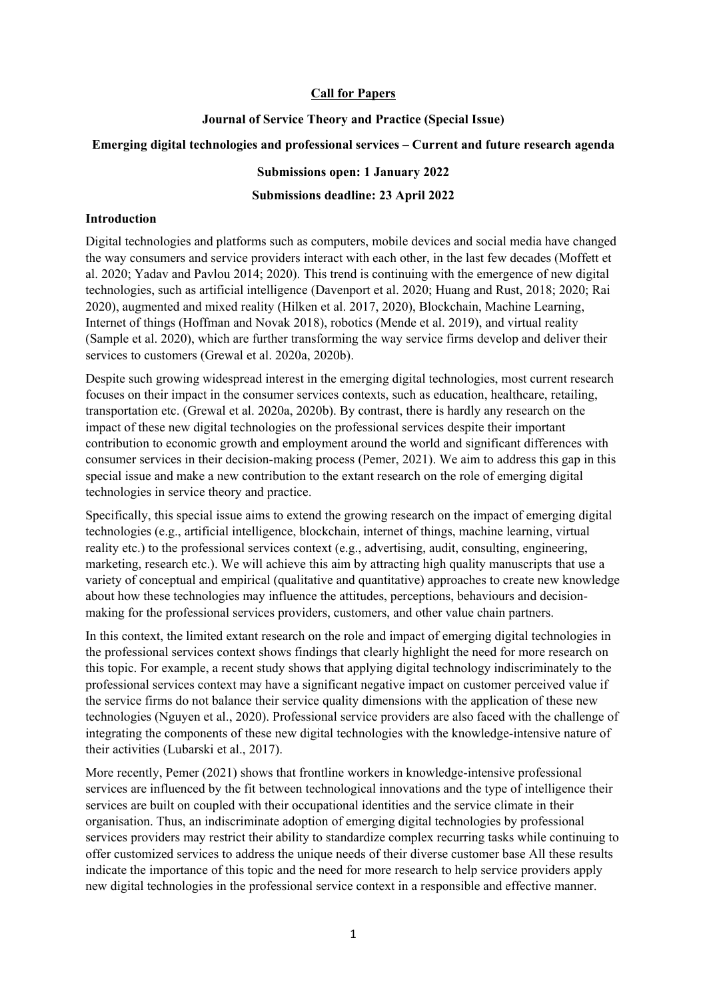# **Call for Papers**

## **Journal of Service Theory and Practice (Special Issue)**

# **Emerging digital technologies and professional services – Current and future research agenda**

# **Submissions open: 1 January 2022**

# **Submissions deadline: 23 April 2022**

# **Introduction**

Digital technologies and platforms such as computers, mobile devices and social media have changed the way consumers and service providers interact with each other, in the last few decades (Moffett et al. 2020; Yadav and Pavlou 2014; 2020). This trend is continuing with the emergence of new digital technologies, such as artificial intelligence (Davenport et al. 2020; Huang and Rust, 2018; 2020; Rai 2020), augmented and mixed reality (Hilken et al. 2017, 2020), Blockchain, Machine Learning, Internet of things (Hoffman and Novak 2018), robotics (Mende et al. 2019), and virtual reality (Sample et al. 2020), which are further transforming the way service firms develop and deliver their services to customers (Grewal et al. 2020a, 2020b).

Despite such growing widespread interest in the emerging digital technologies, most current research focuses on their impact in the consumer services contexts, such as education, healthcare, retailing, transportation etc. (Grewal et al. 2020a, 2020b). By contrast, there is hardly any research on the impact of these new digital technologies on the professional services despite their important contribution to economic growth and employment around the world and significant differences with consumer services in their decision-making process (Pemer, 2021). We aim to address this gap in this special issue and make a new contribution to the extant research on the role of emerging digital technologies in service theory and practice.

Specifically, this special issue aims to extend the growing research on the impact of emerging digital technologies (e.g., artificial intelligence, blockchain, internet of things, machine learning, virtual reality etc.) to the professional services context (e.g., advertising, audit, consulting, engineering, marketing, research etc.). We will achieve this aim by attracting high quality manuscripts that use a variety of conceptual and empirical (qualitative and quantitative) approaches to create new knowledge about how these technologies may influence the attitudes, perceptions, behaviours and decisionmaking for the professional services providers, customers, and other value chain partners.

In this context, the limited extant research on the role and impact of emerging digital technologies in the professional services context shows findings that clearly highlight the need for more research on this topic. For example, a recent study shows that applying digital technology indiscriminately to the professional services context may have a significant negative impact on customer perceived value if the service firms do not balance their service quality dimensions with the application of these new technologies (Nguyen et al., 2020). Professional service providers are also faced with the challenge of integrating the components of these new digital technologies with the knowledge-intensive nature of their activities (Lubarski et al., 2017).

More recently, Pemer (2021) shows that frontline workers in knowledge-intensive professional services are influenced by the fit between technological innovations and the type of intelligence their services are built on coupled with their occupational identities and the service climate in their organisation. Thus, an indiscriminate adoption of emerging digital technologies by professional services providers may restrict their ability to standardize complex recurring tasks while continuing to offer customized services to address the unique needs of their diverse customer base All these results indicate the importance of this topic and the need for more research to help service providers apply new digital technologies in the professional service context in a responsible and effective manner.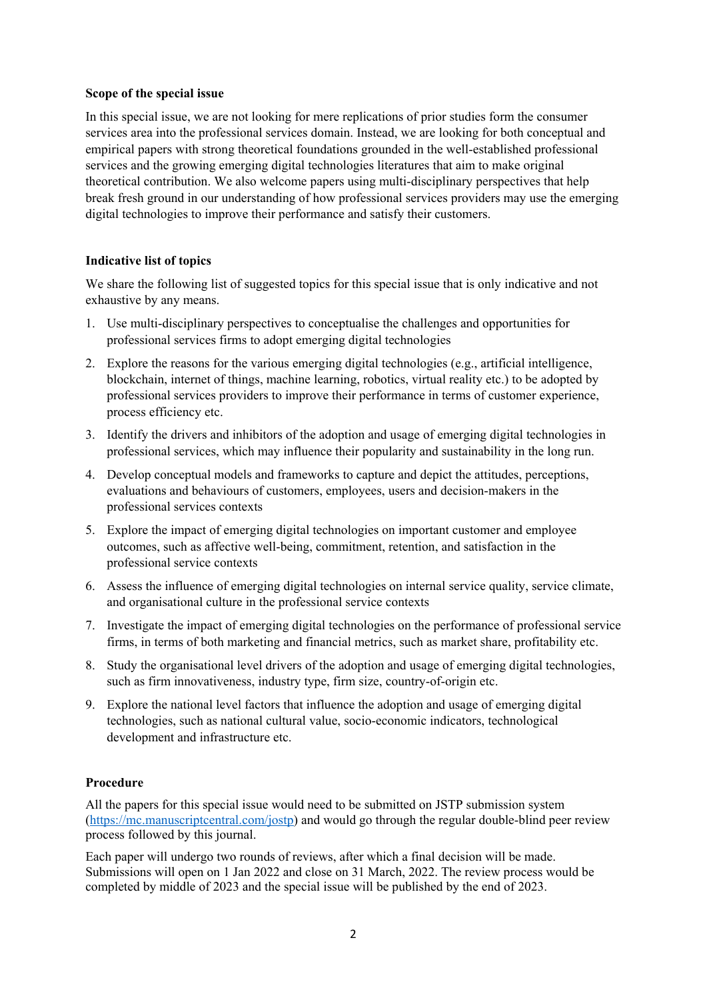### **Scope of the special issue**

In this special issue, we are not looking for mere replications of prior studies form the consumer services area into the professional services domain. Instead, we are looking for both conceptual and empirical papers with strong theoretical foundations grounded in the well-established professional services and the growing emerging digital technologies literatures that aim to make original theoretical contribution. We also welcome papers using multi-disciplinary perspectives that help break fresh ground in our understanding of how professional services providers may use the emerging digital technologies to improve their performance and satisfy their customers.

# **Indicative list of topics**

We share the following list of suggested topics for this special issue that is only indicative and not exhaustive by any means.

- 1. Use multi-disciplinary perspectives to conceptualise the challenges and opportunities for professional services firms to adopt emerging digital technologies
- 2. Explore the reasons for the various emerging digital technologies (e.g., artificial intelligence, blockchain, internet of things, machine learning, robotics, virtual reality etc.) to be adopted by professional services providers to improve their performance in terms of customer experience, process efficiency etc.
- 3. Identify the drivers and inhibitors of the adoption and usage of emerging digital technologies in professional services, which may influence their popularity and sustainability in the long run.
- 4. Develop conceptual models and frameworks to capture and depict the attitudes, perceptions, evaluations and behaviours of customers, employees, users and decision-makers in the professional services contexts
- 5. Explore the impact of emerging digital technologies on important customer and employee outcomes, such as affective well-being, commitment, retention, and satisfaction in the professional service contexts
- 6. Assess the influence of emerging digital technologies on internal service quality, service climate, and organisational culture in the professional service contexts
- 7. Investigate the impact of emerging digital technologies on the performance of professional service firms, in terms of both marketing and financial metrics, such as market share, profitability etc.
- 8. Study the organisational level drivers of the adoption and usage of emerging digital technologies, such as firm innovativeness, industry type, firm size, country-of-origin etc.
- 9. Explore the national level factors that influence the adoption and usage of emerging digital technologies, such as national cultural value, socio-economic indicators, technological development and infrastructure etc.

## **Procedure**

All the papers for this special issue would need to be submitted on JSTP submission system (https://mc.manuscriptcentral.com/jostp) and would go through the regular double-blind peer review process followed by this journal.

Each paper will undergo two rounds of reviews, after which a final decision will be made. Submissions will open on 1 Jan 2022 and close on 31 March, 2022. The review process would be completed by middle of 2023 and the special issue will be published by the end of 2023.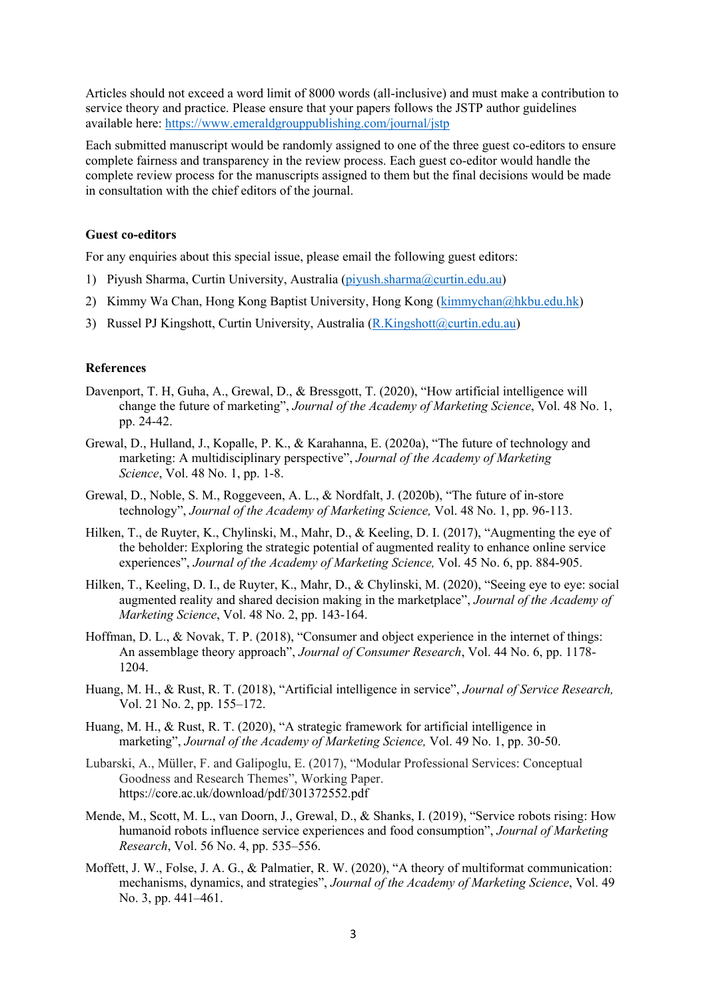Articles should not exceed a word limit of 8000 words (all-inclusive) and must make a contribution to service theory and practice. Please ensure that your papers follows the JSTP author guidelines available here: https://www.emeraldgrouppublishing.com/journal/jstp

Each submitted manuscript would be randomly assigned to one of the three guest co-editors to ensure complete fairness and transparency in the review process. Each guest co-editor would handle the complete review process for the manuscripts assigned to them but the final decisions would be made in consultation with the chief editors of the journal.

#### **Guest co-editors**

For any enquiries about this special issue, please email the following guest editors:

- 1) Piyush Sharma, Curtin University, Australia (piyush.sharma@curtin.edu.au)
- 2) Kimmy Wa Chan, Hong Kong Baptist University, Hong Kong (kimmychan@hkbu.edu.hk)
- 3) Russel PJ Kingshott, Curtin University, Australia (R.Kingshott@curtin.edu.au)

#### **References**

- Davenport, T. H, Guha, A., Grewal, D., & Bressgott, T. (2020), "How artificial intelligence will change the future of marketing", *Journal of the Academy of Marketing Science*, Vol. 48 No. 1, pp. 24-42.
- Grewal, D., Hulland, J., Kopalle, P. K., & Karahanna, E. (2020a), "The future of technology and marketing: A multidisciplinary perspective", *Journal of the Academy of Marketing Science*, Vol. 48 No. 1, pp. 1-8.
- Grewal, D., Noble, S. M., Roggeveen, A. L., & Nordfalt, J. (2020b), "The future of in-store technology", *Journal of the Academy of Marketing Science,* Vol. 48 No. 1, pp. 96-113.
- Hilken, T., de Ruyter, K., Chylinski, M., Mahr, D., & Keeling, D. I. (2017), "Augmenting the eye of the beholder: Exploring the strategic potential of augmented reality to enhance online service experiences", *Journal of the Academy of Marketing Science,* Vol. 45 No. 6, pp. 884-905.
- Hilken, T., Keeling, D. I., de Ruyter, K., Mahr, D., & Chylinski, M. (2020), "Seeing eye to eye: social augmented reality and shared decision making in the marketplace", *Journal of the Academy of Marketing Science*, Vol. 48 No. 2, pp. 143-164.
- Hoffman, D. L., & Novak, T. P. (2018), "Consumer and object experience in the internet of things: An assemblage theory approach", *Journal of Consumer Research*, Vol. 44 No. 6, pp. 1178- 1204.
- Huang, M. H., & Rust, R. T. (2018), "Artificial intelligence in service", *Journal of Service Research,* Vol. 21 No. 2, pp. 155–172.
- Huang, M. H., & Rust, R. T. (2020), "A strategic framework for artificial intelligence in marketing", *Journal of the Academy of Marketing Science,* Vol. 49 No. 1, pp. 30-50.
- Lubarski, A., Müller, F. and Galipoglu, E. (2017), "Modular Professional Services: Conceptual Goodness and Research Themes", Working Paper. https://core.ac.uk/download/pdf/301372552.pdf
- Mende, M., Scott, M. L., van Doorn, J., Grewal, D., & Shanks, I. (2019), "Service robots rising: How humanoid robots influence service experiences and food consumption", *Journal of Marketing Research*, Vol. 56 No. 4, pp. 535–556.
- Moffett, J. W., Folse, J. A. G., & Palmatier, R. W. (2020), "A theory of multiformat communication: mechanisms, dynamics, and strategies", *Journal of the Academy of Marketing Science*, Vol. 49 No. 3, pp. 441–461.